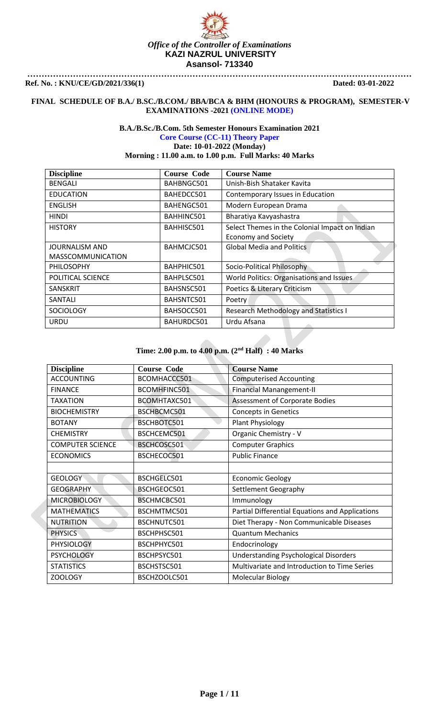

### **FINAL SCHEDULE OF B.A./ B.SC./B.COM./ BBA/BCA & BHM (HONOURS & PROGRAM), SEMESTER-V EXAMINATIONS -2021 (ONLINE MODE)**

## **B.A./B.Sc./B.Com. 5th Semester Honours Examination 2021**

**Core Course (CC-11) Theory Paper Date: 10-01-2022 (Monday)**

**Morning : 11.00 a.m. to 1.00 p.m. Full Marks: 40 Marks**

| <b>Discipline</b>        | <b>Course Code</b> | <b>Course Name</b>                             |
|--------------------------|--------------------|------------------------------------------------|
| BENGALI                  | BAHBNGC501         | Unish-Bish Shataker Kavita                     |
| <b>EDUCATION</b>         | BAHEDCC501         | Contemporary Issues in Education               |
| <b>ENGLISH</b>           | BAHENGC501         | Modern European Drama                          |
| HINDI                    | BAHHINC501         | Bharatiya Kavyashastra                         |
| <b>HISTORY</b>           | BAHHISC501         | Select Themes in the Colonial Impact on Indian |
|                          |                    | <b>Economy and Society</b>                     |
| <b>JOURNALISM AND</b>    | BAHMCJC501         | <b>Global Media and Politics</b>               |
| <b>MASSCOMMUNICATION</b> |                    |                                                |
| <b>PHILOSOPHY</b>        | BAHPHIC501         | Socio-Political Philosophy                     |
| POLITICAL SCIENCE        | BAHPLSC501         | World Politics: Organisations and Issues       |
| <b>SANSKRIT</b>          | BAHSNSC501         | Poetics & Literary Criticism                   |
| SANTALI                  | BAHSNTC501         | Poetry                                         |
| <b>SOCIOLOGY</b>         | BAHSOCC501         | <b>Research Methodology and Statistics I</b>   |
| URDU                     | BAHURDC501         | Urdu Afsana                                    |

| <b>Discipline</b>       | <b>Course Code</b> | <b>Course Name</b>                              |
|-------------------------|--------------------|-------------------------------------------------|
| <b>ACCOUNTING</b>       | BCOMHACCC501       | <b>Computerised Accounting</b>                  |
| <b>FINANCE</b>          | BCOMHFINC501       | <b>Financial Manangement-II</b>                 |
| <b>TAXATION</b>         | BCOMHTAXC501       | Assessment of Corporate Bodies                  |
| <b>BIOCHEMISTRY</b>     | BSCHBCMC501        | <b>Concepts in Genetics</b>                     |
| <b>BOTANY</b>           | BSCHBOTC501        | <b>Plant Physiology</b>                         |
| <b>CHEMISTRY</b>        | BSCHCEMC501        | Organic Chemistry - V                           |
| <b>COMPUTER SCIENCE</b> | BSCHCOSC501        | <b>Computer Graphics</b>                        |
| <b>ECONOMICS</b>        | BSCHECOC501        | <b>Public Finance</b>                           |
|                         |                    |                                                 |
| <b>GEOLOGY</b>          | BSCHGELC501        | <b>Economic Geology</b>                         |
| <b>GEOGRAPHY</b>        | BSCHGEOC501        | Settlement Geography                            |
| <b>MICROBIOLOGY</b>     | BSCHMCBC501        | Immunology                                      |
| <b>MATHEMATICS</b>      | BSCHMTMC501        | Partial Differential Equations and Applications |
| <b>NUTRITION</b>        | BSCHNUTC501        | Diet Therapy - Non Communicable Diseases        |
| <b>PHYSICS</b>          | BSCHPHSC501        | <b>Quantum Mechanics</b>                        |
| PHYSIOLOGY              | BSCHPHYC501        | Endocrinology                                   |
| <b>PSYCHOLOGY</b>       | BSCHPSYC501        | <b>Understanding Psychological Disorders</b>    |
| <b>STATISTICS</b>       | BSCHSTSC501        | Multivariate and Introduction to Time Series    |
| ZOOLOGY                 | BSCHZOOLC501       | Molecular Biology                               |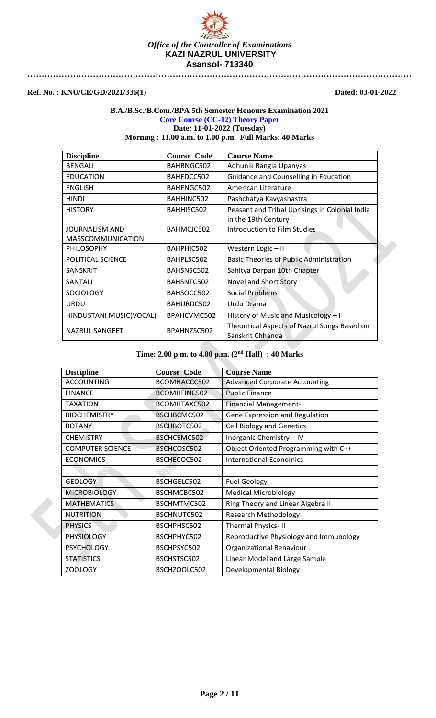

## **Ref. No. : KNU/CE/GD/2021/336(1) Dated: 03-01-2022**

### **B.A./B.Sc./B.Com./BPA 5th Semester Honours Examination 2021 Core Course (CC-12) Theory Paper Date: 11-01-2022 (Tuesday) Morning : 11.00 a.m. to 1.00 p.m. Full Marks: 40 Marks**

**Discipline Course Code Course Name** BENGALI | BAHBNGC502 | Adhunik Bangla Upanyas EDUCATION BAHEDCC502 Guidance and Counselling in Education ENGLISH | BAHENGC502 | American Literature HINDI BAHHINC502 Pashchatya Kavyashastra HISTORY BAHHISC502 | Peasant and Tribal Uprisings in Colonial India in the 19th Century BAHMCJC502 | Introduction to Film Studies

| JOURNALISM AND           | BAHMCJC502  | Introduction to Film Studies                                     |
|--------------------------|-------------|------------------------------------------------------------------|
| <b>MASSCOMMUNICATION</b> |             |                                                                  |
| PHILOSOPHY               | BAHPHIC502  | Western Logic-II                                                 |
| POLITICAL SCIENCE        | BAHPLSC502  | <b>Basic Theories of Public Administration</b>                   |
| SANSKRIT                 | BAHSNSC502  | Sahitya Darpan 10th Chapter                                      |
| SANTALI                  | BAHSNTC502  | Novel and Short Story                                            |
| <b>SOCIOLOGY</b>         | BAHSOCC502  | <b>Social Problems</b>                                           |
| <b>URDU</b>              | BAHURDC502  | Urdu Drama                                                       |
| HINDUSTANI MUSIC(VOCAL)  | BPAHCVMC502 | History of Music and Musicology - I                              |
| NAZRUL SANGEET           | BPAHNZSC502 | Theoritical Aspects of Nazrul Songs Based on<br>Sanskrit Chhanda |

| <b>Discipline</b>       | <b>Course Code</b> | <b>Course Name</b>                     |
|-------------------------|--------------------|----------------------------------------|
| <b>ACCOUNTING</b>       | BCOMHACCC502       | <b>Advanced Corporate Accounting</b>   |
| <b>FINANCE</b>          | BCOMHFINC502       | <b>Public Finance</b>                  |
| <b>TAXATION</b>         | BCOMHTAXC502       | <b>Financial Management-I</b>          |
| <b>BIOCHEMISTRY</b>     | BSCHBCMC502        | Gene Expression and Regulation         |
| <b>BOTANY</b>           | BSCHBOTC502        | <b>Cell Biology and Genetics</b>       |
| <b>CHEMISTRY</b>        | BSCHCEMC502        | Inorganic Chemistry - IV               |
| <b>COMPUTER SCIENCE</b> | BSCHCOSC502        | Object Oriented Programming with C++   |
| <b>ECONOMICS</b>        | BSCHECOC502        | <b>International Economics</b>         |
|                         |                    |                                        |
| <b>GEOLOGY</b>          | BSCHGELC502        | <b>Fuel Geology</b>                    |
| <b>MICROBIOLOGY</b>     | BSCHMCBC502        | <b>Medical Microbiology</b>            |
| <b>MATHEMATICS</b>      | BSCHMTMC502        | Ring Theory and Linear Algebra II      |
| <b>NUTRITION</b>        | BSCHNUTC502        | <b>Research Methodology</b>            |
| <b>PHYSICS</b>          | BSCHPHSC502        | <b>Thermal Physics-II</b>              |
| <b>PHYSIOLOGY</b>       | BSCHPHYC502        | Reproductive Physiology and Immunology |
| <b>PSYCHOLOGY</b>       | BSCHPSYC502        | Organizational Behaviour               |
| <b>STATISTICS</b>       | BSCHSTSC502        | Linear Model and Large Sample          |
| <b>ZOOLOGY</b>          | BSCHZOOLC502       | Developmental Biology                  |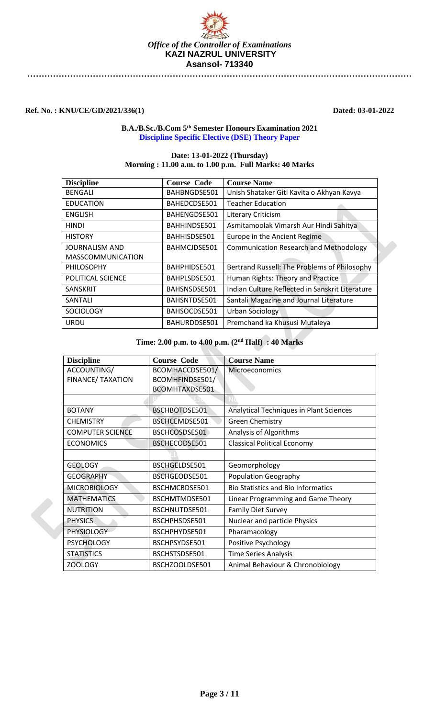

**Ref. No. : KNU/CE/GD/2021/336(1) Dated: 03-01-2022**

## **B.A./B.Sc./B.Com 5 th Semester Honours Examination 2021 Discipline Specific Elective (DSE) Theory Paper**

## **Date: 13-01-2022 (Thursday) Morning : 11.00 a.m. to 1.00 p.m. Full Marks: 40 Marks**

| <b>Discipline</b>        | <b>Course Code</b> | <b>Course Name</b>                              |
|--------------------------|--------------------|-------------------------------------------------|
| BENGALI                  | BAHBNGDSE501       | Unish Shataker Giti Kavita o Akhyan Kavya       |
| <b>EDUCATION</b>         | BAHEDCDSE501       | <b>Teacher Education</b>                        |
| <b>ENGLISH</b>           | BAHENGDSE501       | Literary Criticism                              |
| <b>HINDI</b>             | BAHHINDSE501       | Asmitamoolak Vimarsh Aur Hindi Sahitya          |
| <b>HISTORY</b>           | BAHHISDSE501       | Europe in the Ancient Regime                    |
| JOURNALISM AND           | BAHMCJDSE501       | <b>Communication Research and Methodology</b>   |
| <b>MASSCOMMUNICATION</b> |                    |                                                 |
| <b>PHILOSOPHY</b>        | BAHPHIDSE501       | Bertrand Russell: The Problems of Philosophy    |
| POLITICAL SCIENCE        | BAHPLSDSE501       | Human Rights: Theory and Practice               |
| <b>SANSKRIT</b>          | BAHSNSDSE501       | Indian Culture Reflected in Sanskrit Literature |
| SANTALI                  | BAHSNTDSE501       | Santali Magazine and Journal Literature         |
| <b>SOCIOLOGY</b>         | BAHSOCDSE501       | Urban Sociology                                 |
| URDU                     | BAHURDDSE501       | Premchand ka Khususi Mutaleya                   |

| <b>Discipline</b>        | <b>Course Code</b> | <b>Course Name</b>                        |
|--------------------------|--------------------|-------------------------------------------|
| ACCOUNTING/              | BCOMHACCDSE501/    | Microeconomics                            |
| <b>FINANCE/ TAXATION</b> | BCOMHFINDSE501/    |                                           |
|                          | BCOMHTAXDSE501     |                                           |
|                          |                    |                                           |
| <b>BOTANY</b>            | BSCHBOTDSE501      | Analytical Techniques in Plant Sciences   |
| <b>CHEMISTRY</b>         | BSCHCEMDSE501      | <b>Green Chemistry</b>                    |
| <b>COMPUTER SCIENCE</b>  | BSCHCOSDSE501      | Analysis of Algorithms                    |
| <b>ECONOMICS</b>         | BSCHECODSE501      | <b>Classical Political Economy</b>        |
|                          |                    |                                           |
| <b>GEOLOGY</b>           | BSCHGELDSE501      | Geomorphology                             |
| <b>GEOGRAPHY</b>         | BSCHGEODSE501      | Population Geography                      |
| <b>MICROBIOLOGY</b>      | BSCHMCBDSE501      | <b>Bio Statistics and Bio Informatics</b> |
| <b>MATHEMATICS</b>       | BSCHMTMDSE501      | Linear Programming and Game Theory        |
| <b>NUTRITION</b>         | BSCHNUTDSE501      | <b>Family Diet Survey</b>                 |
| <b>PHYSICS</b>           | BSCHPHSDSE501      | Nuclear and particle Physics              |
| <b>PHYSIOLOGY</b>        | BSCHPHYDSE501      | Pharamacology                             |
| <b>PSYCHOLOGY</b>        | BSCHPSYDSE501      | Positive Psychology                       |
| <b>STATISTICS</b>        | BSCHSTSDSE501      | <b>Time Series Analysis</b>               |
| ZOOLOGY                  | BSCHZOOLDSE501     | Animal Behaviour & Chronobiology          |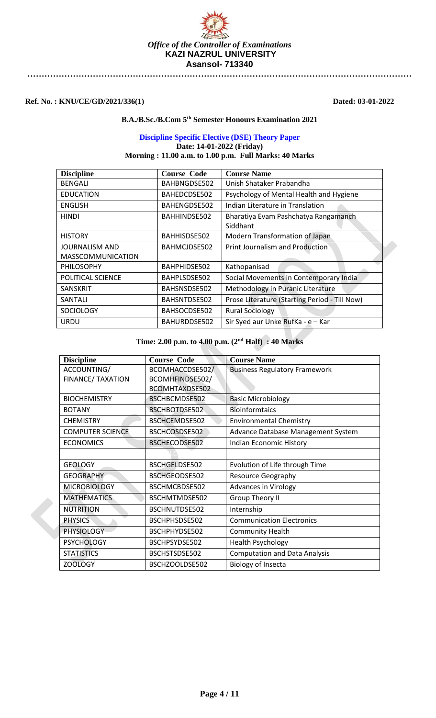

**Ref. No. : KNU/CE/GD/2021/336(1) Dated: 03-01-2022**

### **B.A./B.Sc./B.Com 5th Semester Honours Examination 2021**

## **Discipline Specific Elective (DSE) Theory Paper Date: 14-01-2022 (Friday) Morning : 11.00 a.m. to 1.00 p.m. Full Marks: 40 Marks**

| <b>Discipline</b>                                 | <b>Course Code</b> | <b>Course Name</b>                               |
|---------------------------------------------------|--------------------|--------------------------------------------------|
| <b>BENGALI</b>                                    | BAHBNGDSE502       | Unish Shataker Prabandha                         |
| <b>EDUCATION</b>                                  | BAHEDCDSE502       | Psychology of Mental Health and Hygiene          |
| <b>ENGLISH</b>                                    | BAHENGDSE502       | Indian Literature in Translation                 |
| <b>HINDI</b>                                      | BAHHINDSE502       | Bharatiya Evam Pashchatya Rangamanch<br>Siddhant |
| <b>HISTORY</b>                                    | BAHHISDSE502       | Modern Transformation of Japan                   |
| <b>JOURNALISM AND</b><br><b>MASSCOMMUNICATION</b> | BAHMCJDSE502       | <b>Print Journalism and Production</b>           |
| <b>PHILOSOPHY</b>                                 | BAHPHIDSE502       | Kathopanisad                                     |
| POLITICAL SCIENCE                                 | BAHPLSDSE502       | Social Movements in Contemporary India           |
| <b>SANSKRIT</b>                                   | BAHSNSDSE502       | Methodology in Puranic Literature                |
| SANTALI                                           | BAHSNTDSE502       | Prose Literature (Starting Period - Till Now)    |
| <b>SOCIOLOGY</b>                                  | BAHSOCDSE502       | <b>Rural Sociology</b>                           |
| URDU                                              | BAHURDDSE502       | Sir Syed aur Unke RufKa - e - Kar                |

| <b>Discipline</b>        | <b>Course Code</b>    | <b>Course Name</b>                   |
|--------------------------|-----------------------|--------------------------------------|
| ACCOUNTING/              | BCOMHACCDSE502/       | <b>Business Regulatory Framework</b> |
| <b>FINANCE/ TAXATION</b> | BCOMHFINDSE502/       |                                      |
|                          | <b>BCOMHTAXDSE502</b> |                                      |
| <b>BIOCHEMISTRY</b>      | BSCHBCMDSE502         | <b>Basic Microbiology</b>            |
| <b>BOTANY</b>            | BSCHBOTDSE502         | <b>Bioinformtaics</b>                |
| <b>CHEMISTRY</b>         | BSCHCEMDSE502         | <b>Environmental Chemistry</b>       |
| <b>COMPUTER SCIENCE</b>  | BSCHCOSDSE502         | Advance Database Management System   |
| <b>ECONOMICS</b>         | BSCHECODSE502         | Indian Economic History              |
|                          |                       |                                      |
| <b>GEOLOGY</b>           | BSCHGELDSE502         | Evolution of Life through Time       |
| <b>GEOGRAPHY</b>         | BSCHGEODSE502         | <b>Resource Geography</b>            |
| <b>MICROBIOLOGY</b>      | BSCHMCBDSE502         | <b>Advances in Virology</b>          |
| <b>MATHEMATICS</b>       | BSCHMTMDSE502         | <b>Group Theory II</b>               |
| <b>NUTRITION</b>         | BSCHNUTDSE502         | Internship                           |
| <b>PHYSICS</b>           | BSCHPHSDSE502         | <b>Communication Electronics</b>     |
| <b>PHYSIOLOGY</b>        | BSCHPHYDSE502         | <b>Community Health</b>              |
| <b>PSYCHOLOGY</b>        | BSCHPSYDSE502         | <b>Health Psychology</b>             |
| <b>STATISTICS</b>        | BSCHSTSDSE502         | <b>Computation and Data Analysis</b> |
| <b>ZOOLOGY</b>           | BSCHZOOLDSE502        | <b>Biology of Insecta</b>            |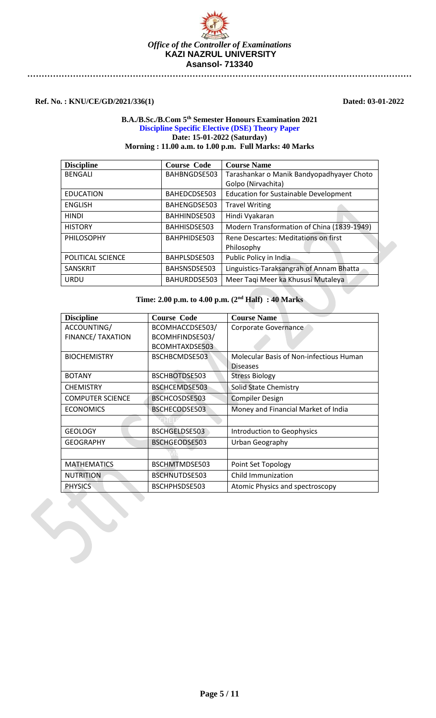

**Ref. No. : KNU/CE/GD/2021/336(1) Dated: 03-01-2022**

## **B.A./B.Sc./B.Com 5th Semester Honours Examination 2021 Discipline Specific Elective (DSE) Theory Paper Date: 15-01-2022 (Saturday) Morning : 11.00 a.m. to 1.00 p.m. Full Marks: 40 Marks**

| <b>Discipline</b> | <b>Course Code</b> | <b>Course Name</b>                           |
|-------------------|--------------------|----------------------------------------------|
| <b>BENGALI</b>    | BAHBNGDSE503       | Tarashankar o Manik Bandyopadhyayer Choto    |
|                   |                    | Golpo (Nirvachita)                           |
| <b>EDUCATION</b>  | BAHEDCDSE503       | <b>Education for Sustainable Development</b> |
| <b>ENGLISH</b>    | BAHENGDSE503       | <b>Travel Writing</b>                        |
| <b>HINDI</b>      | BAHHINDSE503       | Hindi Vyakaran                               |
| <b>HISTORY</b>    | BAHHISDSE503       | Modern Transformation of China (1839-1949)   |
| PHILOSOPHY        | BAHPHIDSE503       | Rene Descartes: Meditations on first         |
|                   |                    | Philosophy                                   |
| POLITICAL SCIENCE | BAHPLSDSE503       | Public Policy in India                       |
| <b>SANSKRIT</b>   | BAHSNSDSE503       | Linguistics-Taraksangrah of Annam Bhatta     |
| <b>URDU</b>       | BAHURDDSE503       | Meer Taqi Meer ka Khususi Mutaleya           |

| <b>Discipline</b>       | Course Code     | <b>Course Name</b>                             |
|-------------------------|-----------------|------------------------------------------------|
| ACCOUNTING/             | BCOMHACCDSE503/ | Corporate Governance                           |
| FINANCE/ TAXATION       | BCOMHFINDSE503/ |                                                |
|                         | BCOMHTAXDSE503  |                                                |
| <b>BIOCHEMISTRY</b>     | BSCHBCMDSE503   | <b>Molecular Basis of Non-infectious Human</b> |
|                         |                 | <b>Diseases</b>                                |
| <b>BOTANY</b>           | BSCHBOTDSE503   | <b>Stress Biology</b>                          |
| <b>CHEMISTRY</b>        | BSCHCEMDSE503   | Solid State Chemistry                          |
| <b>COMPUTER SCIENCE</b> | BSCHCOSDSE503   | <b>Compiler Design</b>                         |
| <b>ECONOMICS</b>        | BSCHECODSE503   | Money and Financial Market of India            |
|                         |                 |                                                |
| <b>GEOLOGY</b>          | BSCHGELDSE503   | Introduction to Geophysics                     |
| <b>GEOGRAPHY</b>        | BSCHGEODSE503   | Urban Geography                                |
|                         |                 |                                                |
| <b>MATHEMATICS</b>      | BSCHMTMDSE503   | Point Set Topology                             |
| <b>NUTRITION</b>        | BSCHNUTDSE503   | Child Immunization                             |
| <b>PHYSICS</b>          | BSCHPHSDSE503   | Atomic Physics and spectroscopy                |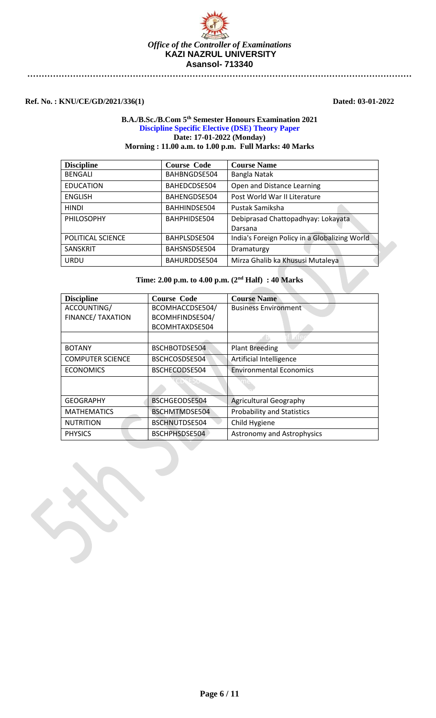

**Ref. No. : KNU/CE/GD/2021/336(1) Dated: 03-01-2022**

## **B.A./B.Sc./B.Com 5th Semester Honours Examination 2021 Discipline Specific Elective (DSE) Theory Paper Date: 17-01-2022 (Monday) Morning : 11.00 a.m. to 1.00 p.m. Full Marks: 40 Marks**

| <b>Discipline</b> | <b>Course Code</b> | <b>Course Name</b>                            |
|-------------------|--------------------|-----------------------------------------------|
| <b>BENGALI</b>    | BAHBNGDSE504       | Bangla Natak                                  |
| <b>EDUCATION</b>  | BAHEDCDSE504       | Open and Distance Learning                    |
| <b>ENGLISH</b>    | BAHENGDSE504       | Post World War II Literature                  |
| <b>HINDI</b>      | BAHHINDSE504       | Pustak Samiksha                               |
| PHILOSOPHY        | BAHPHIDSE504       | Debiprasad Chattopadhyay: Lokayata            |
|                   |                    | Darsana                                       |
| POLITICAL SCIENCE | BAHPLSDSE504       | India's Foreign Policy in a Globalizing World |
| <b>SANSKRIT</b>   | BAHSNSDSE504       | Dramaturgy                                    |
| <b>URDU</b>       | BAHURDDSE504       | Mirza Ghalib ka Khususi Mutaleya              |

| <b>Discipline</b>        | <b>Course Code</b> | <b>Course Name</b>                |
|--------------------------|--------------------|-----------------------------------|
| ACCOUNTING/              | BCOMHACCDSE504/    | <b>Business Environment</b>       |
| <b>FINANCE/ TAXATION</b> | BCOMHFINDSE504/    |                                   |
|                          | BCOMHTAXDSE504     |                                   |
|                          |                    |                                   |
| <b>BOTANY</b>            | BSCHBOTDSE504      | <b>Plant Breeding</b>             |
| <b>COMPUTER SCIENCE</b>  | BSCHCOSDSE504      | Artificial Intelligence           |
| <b>ECONOMICS</b>         | BSCHECODSE504      | <b>Environmental Economics</b>    |
|                          |                    |                                   |
| <b>GEOGRAPHY</b>         | BSCHGEODSE504      | <b>Agricultural Geography</b>     |
| <b>MATHEMATICS</b>       | BSCHMTMDSE504      | <b>Probability and Statistics</b> |
| <b>NUTRITION</b>         | BSCHNUTDSE504      | Child Hygiene                     |
| <b>PHYSICS</b>           | BSCHPHSDSE504      | <b>Astronomy and Astrophysics</b> |

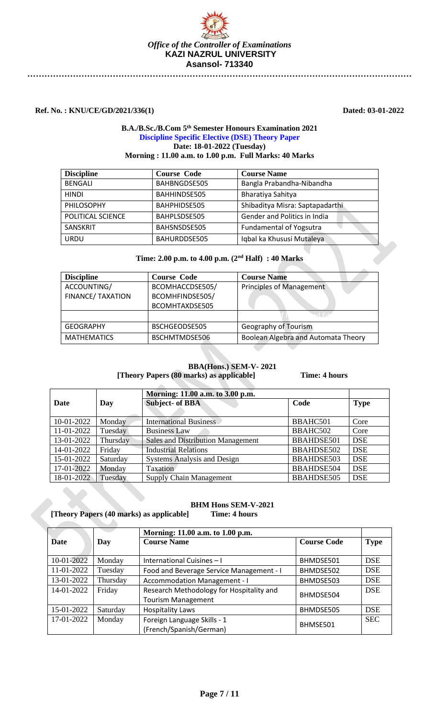

**Ref. No. : KNU/CE/GD/2021/336(1) Dated: 03-01-2022**

### **B.A./B.Sc./B.Com 5th Semester Honours Examination 2021 Discipline Specific Elective (DSE) Theory Paper Date: 18-01-2022 (Tuesday) Morning : 11.00 a.m. to 1.00 p.m. Full Marks: 40 Marks**

| <b>Discipline</b> | <b>Course Code</b> | <b>Course Name</b>              |
|-------------------|--------------------|---------------------------------|
| <b>BENGALI</b>    | BAHBNGDSE505       | Bangla Prabandha-Nibandha       |
| <b>HINDI</b>      | BAHHINDSE505       | Bharatiya Sahitya               |
| PHILOSOPHY        | BAHPHIDSE505       | Shibaditya Misra: Saptapadarthi |
| POLITICAL SCIENCE | BAHPLSDSE505       | Gender and Politics in India    |
| SANSKRIT          | BAHSNSDSE505       | <b>Fundamental of Yogsutra</b>  |
| <b>URDU</b>       | BAHURDDSE505       | Iqbal ka Khususi Mutaleya       |

## **Time: 2.00 p.m. to 4.00 p.m. (2nd Half) : 40 Marks**

| <b>Discipline</b>        | <b>Course Code</b> | <b>Course Name</b>                  |
|--------------------------|--------------------|-------------------------------------|
| ACCOUNTING/              | BCOMHACCDSE505/    | Principles of Management            |
| <b>FINANCE/ TAXATION</b> | BCOMHFINDSE505/    |                                     |
|                          | BCOMHTAXDSE505     |                                     |
|                          |                    | ن⊐ ا⊸ہ                              |
| <b>GEOGRAPHY</b>         | BSCHGEODSE505      | Geography of Tourism                |
| <b>MATHEMATICS</b>       | BSCHMTMDSE506      | Boolean Algebra and Automata Theory |

### **BBA(Hons.) SEM-V- 2021 [Theory Papers (80 marks) as applicable] Time: 4 hours**

|            |          | Morning: 11.00 a.m. to 3.00 p.m.         |                   |             |
|------------|----------|------------------------------------------|-------------------|-------------|
| Date       | Day      | <b>Subject- of BBA</b>                   | Code              | <b>Type</b> |
| 10-01-2022 | Monday   | <b>International Business</b>            | BBAHC501          | Core        |
| 11-01-2022 | Tuesday  | <b>Business Law</b>                      | BBAHC502          | Core        |
| 13-01-2022 | Thursday | <b>Sales and Distribution Management</b> | <b>BBAHDSE501</b> | <b>DSE</b>  |
| 14-01-2022 | Friday   | <b>Industrial Relations</b>              | <b>BBAHDSE502</b> | <b>DSE</b>  |
| 15-01-2022 | Saturday | <b>Systems Analysis and Design</b>       | <b>BBAHDSE503</b> | <b>DSE</b>  |
| 17-01-2022 | Monday   | Taxation                                 | BBAHDSE504        | <b>DSE</b>  |
| 18-01-2022 | Tuesday  | <b>Supply Chain Management</b>           | <b>BBAHDSE505</b> | <b>DSE</b>  |

### **BHM Hons SEM-V-2021 [Theory Papers (40 marks) as applicable] Time: 4 hours**

|            |          | Morning: 11.00 a.m. to 1.00 p.m.         |                    |             |
|------------|----------|------------------------------------------|--------------------|-------------|
| Date       | Day      | <b>Course Name</b>                       | <b>Course Code</b> | <b>Type</b> |
|            |          |                                          |                    |             |
| 10-01-2022 | Monday   | International Cuisines - I               | BHMDSE501          | <b>DSE</b>  |
| 11-01-2022 | Tuesday  | Food and Beverage Service Management - I | BHMDSE502          | <b>DSE</b>  |
| 13-01-2022 | Thursday | <b>Accommodation Management - I</b>      | BHMDSE503          | <b>DSE</b>  |
| 14-01-2022 | Friday   | Research Methodology for Hospitality and | BHMDSE504          | <b>DSE</b>  |
|            |          | <b>Tourism Management</b>                |                    |             |
| 15-01-2022 | Saturday | <b>Hospitality Laws</b>                  | BHMDSE505          | <b>DSE</b>  |
| 17-01-2022 | Monday   | Foreign Language Skills - 1              |                    | <b>SEC</b>  |
|            |          | (French/Spanish/German)                  | BHMSE501           |             |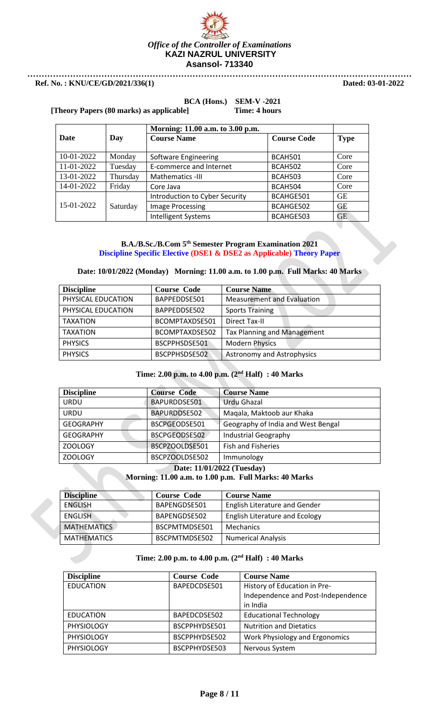

# **BCA (Hons.) SEM-V -2021**

**[Theory Papers (80 marks) as applicable] Time: 4 hours**

|             |          | Morning: 11.00 a.m. to 3.00 p.m. |                    |             |
|-------------|----------|----------------------------------|--------------------|-------------|
| <b>Date</b> | Day      | <b>Course Name</b>               | <b>Course Code</b> | <b>Type</b> |
| 10-01-2022  | Monday   | Software Engineering             | BCAH501            | Core        |
| 11-01-2022  | Tuesday  | E-commerce and Internet          | BCAH502            | Core        |
| 13-01-2022  | Thursday | Mathematics -III                 | BCAH503            | Core        |
| 14-01-2022  | Friday   | Core Java                        | BCAH504            | Core        |
|             |          | Introduction to Cyber Security   | BCAHGE501          | <b>GE</b>   |
| 15-01-2022  | Saturday | <b>Image Processing</b>          | BCAHGE502          | GE          |
|             |          | <b>Intelligent Systems</b>       | BCAHGE503          | <b>GE</b>   |

## **B.A./B.Sc./B.Com 5th Semester Program Examination 2021 Discipline Specific Elective (DSE1 & DSE2 as Applicable) Theory Paper**

## **Date: 10/01/2022 (Monday) Morning: 11.00 a.m. to 1.00 p.m. Full Marks: 40 Marks**

| <b>Discipline</b>  | <b>Course Code</b> | <b>Course Name</b>                 |
|--------------------|--------------------|------------------------------------|
| PHYSICAL EDUCATION | BAPPEDDSE501       | <b>Measurement and Evaluation</b>  |
| PHYSICAL EDUCATION | BAPPEDDSE502       | <b>Sports Training</b>             |
| <b>TAXATION</b>    | BCOMPTAXDSE501     | <b>Direct Tax-II</b>               |
| <b>TAXATION</b>    | BCOMPTAXDSE502     | <b>Tax Planning and Management</b> |
| <b>PHYSICS</b>     | BSCPPHSDSE501      | <b>Modern Physics</b>              |
| <b>PHYSICS</b>     | BSCPPHSDSE502      | <b>Astronomy and Astrophysics</b>  |

## **Time: 2.00 p.m. to 4.00 p.m. (2nd Half) : 40 Marks**

| <b>Discipline</b>          | <b>Course Code</b> | <b>Course Name</b>                 |
|----------------------------|--------------------|------------------------------------|
| <b>URDU</b>                | BAPURDDSE501       | <b>Urdu Ghazal</b>                 |
| <b>URDU</b>                | BAPURDDSE502       | Maqala, Maktoob aur Khaka          |
| <b>GEOGRAPHY</b>           | BSCPGEODSE501      | Geography of India and West Bengal |
| <b>GEOGRAPHY</b>           | BSCPGEODSE502      | <b>Industrial Geography</b>        |
| <b>ZOOLOGY</b>             | BSCPZOOLDSE501     | <b>Fish and Fisheries</b>          |
| ZOOLOGY                    | BSCPZOOLDSE502     | Immunology                         |
| Date: 11/01/2022 (Tuesday) |                    |                                    |

## **Morning: 11.00 a.m. to 1.00 p.m. Full Marks: 40 Marks**

| <b>Discipline</b>  | <b>Course Code</b> | <b>Course Name</b>             |
|--------------------|--------------------|--------------------------------|
| ENGLISH            | BAPENGDSE501       | English Literature and Gender  |
| <b>ENGLISH</b>     | BAPENGDSE502       | English Literature and Ecology |
| <b>MATHEMATICS</b> | BSCPMTMDSE501      | Mechanics                      |
| <b>MATHEMATICS</b> | BSCPMTMDSE502      | <b>Numerical Analysis</b>      |

| <b>Discipline</b> | <b>Course Code</b> | <b>Course Name</b>                 |
|-------------------|--------------------|------------------------------------|
| <b>EDUCATION</b>  | BAPEDCDSE501       | History of Education in Pre-       |
|                   |                    | Independence and Post-Independence |
|                   |                    | in India                           |
| EDUCATION         | BAPEDCDSE502       | <b>Educational Technology</b>      |
| <b>PHYSIOLOGY</b> | BSCPPHYDSE501      | <b>Nutrition and Dietatics</b>     |
| PHYSIOLOGY        | BSCPPHYDSE502      | Work Physiology and Ergonomics     |
| <b>PHYSIOLOGY</b> | BSCPPHYDSE503      | Nervous System                     |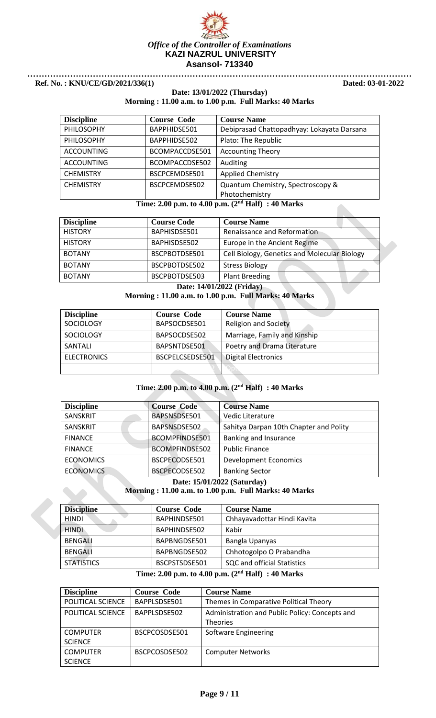

## **Date: 13/01/2022 (Thursday) Morning : 11.00 a.m. to 1.00 p.m. Full Marks: 40 Marks**

| <b>Discipline</b> | <b>Course Code</b> | <b>Course Name</b>                         |
|-------------------|--------------------|--------------------------------------------|
| PHILOSOPHY        | BAPPHIDSE501       | Debiprasad Chattopadhyay: Lokayata Darsana |
| PHILOSOPHY        | BAPPHIDSE502       | Plato: The Republic                        |
| <b>ACCOUNTING</b> | BCOMPACCDSE501     | <b>Accounting Theory</b>                   |
| <b>ACCOUNTING</b> | BCOMPACCDSE502     | Auditing                                   |
| <b>CHEMISTRY</b>  | BSCPCEMDSE501      | <b>Applied Chemistry</b>                   |
| <b>CHEMISTRY</b>  | BSCPCEMDSE502      | Quantum Chemistry, Spectroscopy &          |
|                   |                    | Photochemistry                             |

## **Time: 2.00 p.m. to 4.00 p.m. (2nd Half) : 40 Marks**

| <b>Discipline</b>         | <b>Course Code</b> | <b>Course Name</b>                           |
|---------------------------|--------------------|----------------------------------------------|
| <b>HISTORY</b>            | BAPHISDSE501       | Renaissance and Reformation                  |
| <b>HISTORY</b>            | BAPHISDSE502       | Europe in the Ancient Regime                 |
| <b>BOTANY</b>             | BSCPBOTDSE501      | Cell Biology, Genetics and Molecular Biology |
| <b>BOTANY</b>             | BSCPBOTDSE502      | <b>Stress Biology</b>                        |
| <b>BOTANY</b>             | BSCPBOTDSE503      | Plant Breeding                               |
| Date: 14/01/2022 (Friday) |                    |                                              |

## **Morning : 11.00 a.m. to 1.00 p.m. Full Marks: 40 Marks**

| <b>Discipline</b>  | <b>Course Code</b> | <b>Course Name</b>           |
|--------------------|--------------------|------------------------------|
| <b>SOCIOLOGY</b>   | BAPSOCDSE501       | <b>Religion and Society</b>  |
| <b>SOCIOLOGY</b>   | BAPSOCDSE502       | Marriage, Family and Kinship |
| SANTALI            | BAPSNTDSE501       | Poetry and Drama Literature  |
| <b>ELECTRONICS</b> | BSCPELCSEDSE501    | <b>Digital Electronics</b>   |
|                    |                    |                              |

## **Time: 2.00 p.m. to 4.00 p.m. (2nd Half) : 40 Marks**

| <b>Discipline</b>           | <b>Course Code</b> | <b>Course Name</b>                     |
|-----------------------------|--------------------|----------------------------------------|
| SANSKRIT                    | BAPSNSDSE501       | Vedic Literature                       |
| SANSKRIT                    | BAPSNSDSE502       | Sahitya Darpan 10th Chapter and Polity |
| <b>FINANCE</b>              | BCOMPFINDSE501     | Banking and Insurance                  |
| <b>FINANCE</b>              | BCOMPFINDSE502     | <b>Public Finance</b>                  |
| <b>ECONOMICS</b>            | BSCPECODSE501      | <b>Development Economics</b>           |
| <b>ECONOMICS</b>            | BSCPECODSE502      | <b>Banking Sector</b>                  |
| Date: 15/01/2022 (Saturday) |                    |                                        |

## **Morning : 11.00 a.m. to 1.00 p.m. Full Marks: 40 Marks**

| <b>Discipline</b> | <b>Course Code</b> | <b>Course Name</b>                 |
|-------------------|--------------------|------------------------------------|
| <b>HINDI</b>      | BAPHINDSE501       | Chhayavadottar Hindi Kavita        |
| <b>HINDI</b>      | BAPHINDSE502       | Kabir                              |
| <b>BENGALI</b>    | BAPBNGDSE501       | Bangla Upanyas                     |
| <b>BENGALI</b>    | BAPBNGDSE502       | Chhotogolpo O Prabandha            |
| <b>STATISTICS</b> | BSCPSTSDSE501      | <b>SQC and official Statistics</b> |

| <b>Discipline</b> | <b>Course Code</b> | <b>Course Name</b>                             |
|-------------------|--------------------|------------------------------------------------|
| POLITICAL SCIENCE | BAPPLSDSE501       | Themes in Comparative Political Theory         |
| POLITICAL SCIENCE | BAPPLSDSE502       | Administration and Public Policy: Concepts and |
|                   |                    | <b>Theories</b>                                |
| <b>COMPUTER</b>   | BSCPCOSDSE501      | Software Engineering                           |
| <b>SCIENCE</b>    |                    |                                                |
| <b>COMPUTER</b>   | BSCPCOSDSE502      | <b>Computer Networks</b>                       |
| <b>SCIENCE</b>    |                    |                                                |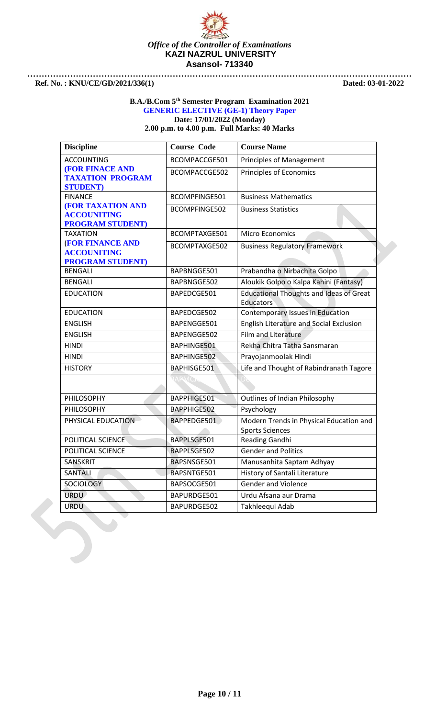

### **B.A./B.Com 5th Semester Program Examination 2021 GENERIC ELECTIVE (GE-1) Theory Paper Date: 17/01/2022 (Monday) 2.00 p.m. to 4.00 p.m. Full Marks: 40 Marks**

| <b>Discipline</b>                                                          | <b>Course Code</b> | <b>Course Name</b>                                                 |
|----------------------------------------------------------------------------|--------------------|--------------------------------------------------------------------|
| <b>ACCOUNTING</b>                                                          | BCOMPACCGE501      | <b>Principles of Management</b>                                    |
| <b>(FOR FINACE AND</b><br><b>TAXATION PROGRAM</b><br><b>STUDENT</b> )      | BCOMPACCGE502      | Principles of Economics                                            |
| <b>FINANCE</b>                                                             | BCOMPFINGE501      | <b>Business Mathematics</b>                                        |
| <b>(FOR TAXATION AND</b><br><b>ACCOUNITING</b><br><b>PROGRAM STUDENT</b> ) | BCOMPFINGE502      | <b>Business Statistics</b>                                         |
| <b>TAXATION</b>                                                            | BCOMPTAXGE501      | <b>Micro Economics</b>                                             |
| <b>(FOR FINANCE AND</b><br><b>ACCOUNITING</b><br><b>PROGRAM STUDENT</b> )  | BCOMPTAXGE502      | <b>Business Regulatory Framework</b>                               |
| <b>BENGALI</b>                                                             | BAPBNGGE501        | Prabandha o Nirbachita Golpo                                       |
| <b>BENGALI</b>                                                             | BAPBNGGE502        | Aloukik Golpo o Kalpa Kahini (Fantasy)                             |
| <b>EDUCATION</b>                                                           | BAPEDCGE501        | <b>Educational Thoughts and Ideas of Great</b><br><b>Educators</b> |
| <b>EDUCATION</b>                                                           | BAPEDCGE502        | Contemporary Issues in Education                                   |
| <b>ENGLISH</b>                                                             | BAPENGGE501        | English Literature and Social Exclusion                            |
| <b>ENGLISH</b>                                                             | BAPENGGE502        | Film and Literature                                                |
| <b>HINDI</b>                                                               | BAPHINGE501        | Rekha Chitra Tatha Sansmaran                                       |
| <b>HINDI</b>                                                               | BAPHINGE502        | Prayojanmoolak Hindi                                               |
| <b>HISTORY</b>                                                             | BAPHISGE501        | Life and Thought of Rabindranath Tagore                            |
|                                                                            | RAPMO              | D:                                                                 |
| PHILOSOPHY                                                                 | BAPPHIGE501        | Outlines of Indian Philosophy                                      |
| PHILOSOPHY                                                                 | BAPPHIGE502        | Psychology                                                         |
| PHYSICAL EDUCATION                                                         | BAPPEDGE501        | Modern Trends in Physical Education and<br><b>Sports Sciences</b>  |
| POLITICAL SCIENCE                                                          | BAPPLSGE501        | Reading Gandhi                                                     |
| POLITICAL SCIENCE                                                          | BAPPLSGE502        | <b>Gender and Politics</b>                                         |
| SANSKRIT                                                                   | BAPSNSGE501        | Manusanhita Saptam Adhyay                                          |
| <b>SANTALI</b>                                                             | BAPSNTGE501        | History of Santali Literature                                      |
| SOCIOLOGY                                                                  | BAPSOCGE501        | <b>Gender and Violence</b>                                         |
| <b>URDU</b>                                                                | BAPURDGE501        | Urdu Afsana aur Drama                                              |
| <b>URDU</b>                                                                | BAPURDGE502        | Takhleequi Adab                                                    |